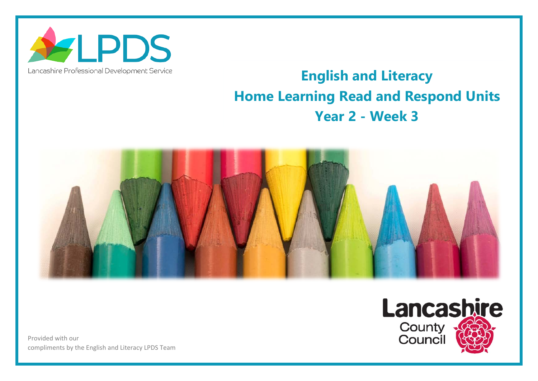

## Lancashire Professional Development Service

## **English and Literacy Home Learning Read and Respond Units Year 2 - Week 3**



Provided with our compliments by the English and Literacy LPDS Team

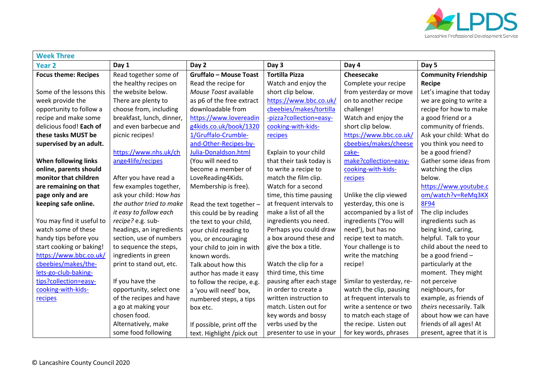

| <b>Week Three</b>           |                           |                               |                          |                           |                             |  |  |  |
|-----------------------------|---------------------------|-------------------------------|--------------------------|---------------------------|-----------------------------|--|--|--|
| <b>Year 2</b>               | Day 1                     | Day 2                         | Day 3                    | Day 4                     | Day 5                       |  |  |  |
| <b>Focus theme: Recipes</b> | Read together some of     | <b>Gruffalo - Mouse Toast</b> | <b>Tortilla Pizza</b>    | Cheesecake                | <b>Community Friendship</b> |  |  |  |
|                             | the healthy recipes on    | Read the recipe for           | Watch and enjoy the      | Complete your recipe      | Recipe                      |  |  |  |
| Some of the lessons this    | the website below.        | Mouse Toast available         | short clip below.        | from yesterday or move    | Let's imagine that today    |  |  |  |
| week provide the            | There are plenty to       | as p6 of the free extract     | https://www.bbc.co.uk/   | on to another recipe      | we are going to write a     |  |  |  |
| opportunity to follow a     | choose from, including    | downloadable from             | cbeebies/makes/tortilla  | challenge!                | recipe for how to make      |  |  |  |
| recipe and make some        | breakfast, lunch, dinner, | https://www.lovereadin        | -pizza?collection=easy-  | Watch and enjoy the       | a good friend or a          |  |  |  |
| delicious food! Each of     | and even barbecue and     | g4kids.co.uk/book/1320        | cooking-with-kids-       | short clip below.         | community of friends.       |  |  |  |
| these tasks MUST be         | picnic recipes!           | 1/Gruffalo-Crumble-           | recipes                  | https://www.bbc.co.uk/    | Ask your child: What do     |  |  |  |
| supervised by an adult.     |                           | and-Other-Recipes-by-         |                          | cbeebies/makes/cheese     | you think you need to       |  |  |  |
|                             | https://www.nhs.uk/ch     | Julia-Donaldson.html          | Explain to your child    | cake-                     | be a good friend?           |  |  |  |
| When following links        | ange4life/recipes         | (You will need to             | that their task today is | make?collection=easy-     | Gather some ideas from      |  |  |  |
| online, parents should      |                           | become a member of            | to write a recipe to     | cooking-with-kids-        | watching the clips          |  |  |  |
| monitor that children       | After you have read a     | LoveReading4Kids.             | match the film clip.     | recipes                   | below.                      |  |  |  |
| are remaining on that       | few examples together,    | Membership is free).          | Watch for a second       |                           | https://www.youtube.c       |  |  |  |
| page only and are           | ask your child: How has   |                               | time, this time pausing  | Unlike the clip viewed    | om/watch?v=ReMq3KX          |  |  |  |
| keeping safe online.        | the author tried to make  | Read the text together -      | at frequent intervals to | yesterday, this one is    | <b>8F94</b>                 |  |  |  |
|                             | it easy to follow each    | this could be by reading      | make a list of all the   | accompanied by a list of  | The clip includes           |  |  |  |
| You may find it useful to   | recipe? e.g. sub-         | the text to your child,       | ingredients you need.    | ingredients ('You will    | ingredients such as         |  |  |  |
| watch some of these         | headings, an ingredients  | your child reading to         | Perhaps you could draw   | need'), but has no        | being kind, caring,         |  |  |  |
| handy tips before you       | section, use of numbers   | you, or encouraging           | a box around these and   | recipe text to match.     | helpful. Talk to your       |  |  |  |
| start cooking or baking!    | to sequence the steps,    | your child to join in with    | give the box a title.    | Your challenge is to      | child about the need to     |  |  |  |
| https://www.bbc.co.uk/      | ingredients in green      | known words.                  |                          | write the matching        | be a good friend -          |  |  |  |
| cbeebies/makes/the-         | print to stand out, etc.  | Talk about how this           | Watch the clip for a     | recipe!                   | particularly at the         |  |  |  |
| lets-go-club-baking-        |                           | author has made it easy       | third time, this time    |                           | moment. They might          |  |  |  |
| tips?collection=easy-       | If you have the           | to follow the recipe, e.g.    | pausing after each stage | Similar to yesterday, re- | not perceive                |  |  |  |
| cooking-with-kids-          | opportunity, select one   | a 'you will need' box,        | in order to create a     | watch the clip, pausing   | neighbours, for             |  |  |  |
| recipes                     | of the recipes and have   | numbered steps, a tips        | written instruction to   | at frequent intervals to  | example, as friends of      |  |  |  |
|                             | a go at making your       | box etc.                      | match. Listen out for    | write a sentence or two   | theirs necessarily. Talk    |  |  |  |
|                             | chosen food.              |                               | key words and bossy      | to match each stage of    | about how we can have       |  |  |  |
|                             | Alternatively, make       | If possible, print off the    | verbs used by the        | the recipe. Listen out    | friends of all ages! At     |  |  |  |
|                             | some food following       | text. Highlight /pick out     | presenter to use in your | for key words, phrases    | present, agree that it is   |  |  |  |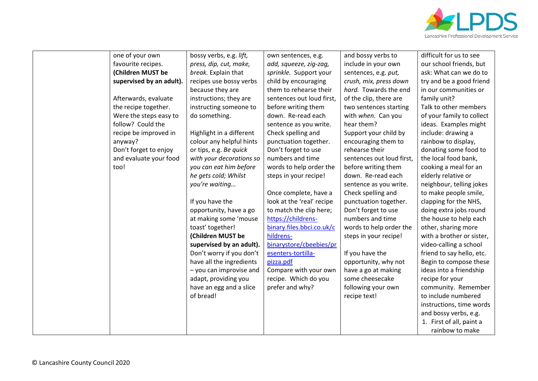

| one of your own          | bossy verbs, e.g. lift,  | own sentences, e.g.       | and bossy verbs to        | difficult for us to see   |
|--------------------------|--------------------------|---------------------------|---------------------------|---------------------------|
| favourite recipes.       | press, dip, cut, make,   | add, squeeze, zig-zag,    | include in your own       | our school friends, but   |
| (Children MUST be        | break. Explain that      | sprinkle. Support your    | sentences, e.g. put,      | ask: What can we do to    |
| supervised by an adult). | recipes use bossy verbs  | child by encouraging      | crush, mix, press down    | try and be a good friend  |
|                          | because they are         | them to rehearse their    | hard. Towards the end     | in our communities or     |
| Afterwards, evaluate     | instructions; they are   | sentences out loud first, | of the clip, there are    | family unit?              |
| the recipe together.     | instructing someone to   | before writing them       | two sentences starting    | Talk to other members     |
| Were the steps easy to   | do something.            | down. Re-read each        | with when. Can you        | of your family to collect |
| follow? Could the        |                          | sentence as you write.    | hear them?                | ideas. Examples might     |
| recipe be improved in    | Highlight in a different | Check spelling and        | Support your child by     | include: drawing a        |
| anyway?                  | colour any helpful hints | punctuation together.     | encouraging them to       | rainbow to display,       |
| Don't forget to enjoy    | or tips, e.g. Be quick   | Don't forget to use       | rehearse their            | donating some food to     |
| and evaluate your food   | with your decorations so | numbers and time          | sentences out loud first, | the local food bank,      |
| too!                     | you can eat him before   | words to help order the   | before writing them       | cooking a meal for an     |
|                          | he gets cold; Whilst     | steps in your recipe!     | down. Re-read each        | elderly relative or       |
|                          | you're waiting           |                           | sentence as you write.    | neighbour, telling jokes  |
|                          |                          | Once complete, have a     | Check spelling and        | to make people smile,     |
|                          | If you have the          | look at the 'real' recipe | punctuation together.     | clapping for the NHS,     |
|                          | opportunity, have a go   | to match the clip here;   | Don't forget to use       | doing extra jobs round    |
|                          | at making some 'mouse    | https://childrens-        | numbers and time          | the house to help each    |
|                          | toast' together!         | binary.files.bbci.co.uk/c | words to help order the   | other, sharing more       |
|                          | (Children MUST be        | hildrens-                 | steps in your recipe!     | with a brother or sister, |
|                          | supervised by an adult). | binarystore/cbeebies/pr   |                           | video-calling a school    |
|                          | Don't worry if you don't | esenters-tortilla-        | If you have the           | friend to say hello, etc. |
|                          | have all the ingredients | pizza.pdf                 | opportunity, why not      | Begin to compose these    |
|                          | - you can improvise and  | Compare with your own     | have a go at making       | ideas into a friendship   |
|                          | adapt, providing you     | recipe. Which do you      | some cheesecake           | recipe for your           |
|                          | have an egg and a slice  | prefer and why?           | following your own        | community. Remember       |
|                          | of bread!                |                           | recipe text!              | to include numbered       |
|                          |                          |                           |                           | instructions, time words  |
|                          |                          |                           |                           | and bossy verbs, e.g.     |
|                          |                          |                           |                           | 1. First of all, paint a  |
|                          |                          |                           |                           | rainbow to make           |